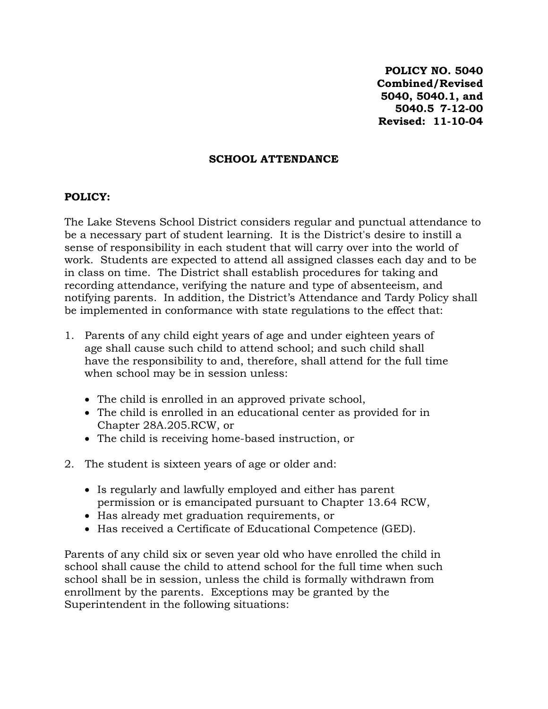**POLICY NO. 5040 Combined/Revised 5040, 5040.1, and 5040.5 7-12-00 Revised: 11-10-04**

### **SCHOOL ATTENDANCE**

## **POLICY:**

The Lake Stevens School District considers regular and punctual attendance to be a necessary part of student learning. It is the District's desire to instill a sense of responsibility in each student that will carry over into the world of work. Students are expected to attend all assigned classes each day and to be in class on time. The District shall establish procedures for taking and recording attendance, verifying the nature and type of absenteeism, and notifying parents. In addition, the District's Attendance and Tardy Policy shall be implemented in conformance with state regulations to the effect that:

- 1. Parents of any child eight years of age and under eighteen years of age shall cause such child to attend school; and such child shall have the responsibility to and, therefore, shall attend for the full time when school may be in session unless:
	- The child is enrolled in an approved private school,
	- The child is enrolled in an educational center as provided for in Chapter 28A.205.RCW, or
	- The child is receiving home-based instruction, or
- 2. The student is sixteen years of age or older and:
	- Is regularly and lawfully employed and either has parent permission or is emancipated pursuant to Chapter 13.64 RCW,
	- Has already met graduation requirements, or
	- Has received a Certificate of Educational Competence (GED).

Parents of any child six or seven year old who have enrolled the child in school shall cause the child to attend school for the full time when such school shall be in session, unless the child is formally withdrawn from enrollment by the parents. Exceptions may be granted by the Superintendent in the following situations: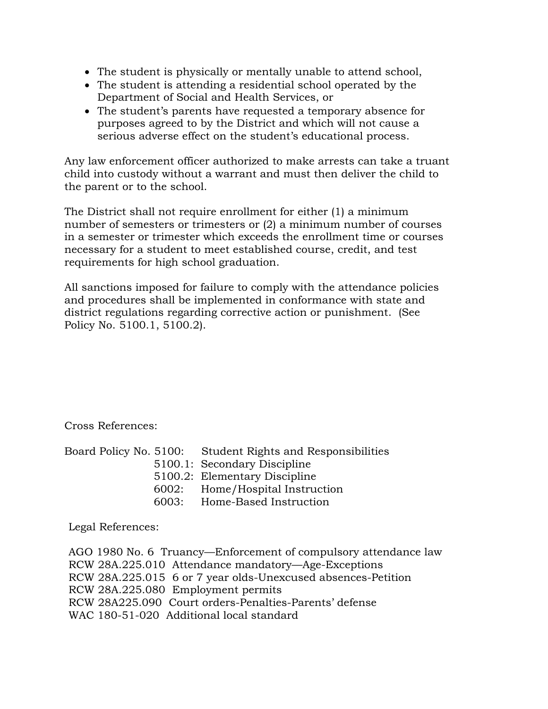- The student is physically or mentally unable to attend school,
- The student is attending a residential school operated by the Department of Social and Health Services, or
- The student's parents have requested a temporary absence for purposes agreed to by the District and which will not cause a serious adverse effect on the student's educational process.

Any law enforcement officer authorized to make arrests can take a truant child into custody without a warrant and must then deliver the child to the parent or to the school.

The District shall not require enrollment for either (1) a minimum number of semesters or trimesters or (2) a minimum number of courses in a semester or trimester which exceeds the enrollment time or courses necessary for a student to meet established course, credit, and test requirements for high school graduation.

All sanctions imposed for failure to comply with the attendance policies and procedures shall be implemented in conformance with state and district regulations regarding corrective action or punishment. (See Policy No. 5100.1, 5100.2).

Cross References:

|       | Board Policy No. 5100: Student Rights and Responsibilities |
|-------|------------------------------------------------------------|
|       | 5100.1: Secondary Discipline                               |
|       | 5100.2: Elementary Discipline                              |
|       | 6002: Home/Hospital Instruction                            |
| 6003: | Home-Based Instruction                                     |
|       |                                                            |

Legal References:

AGO 1980 No. 6 Truancy—Enforcement of compulsory attendance law RCW 28A.225.010 Attendance mandatory—Age-Exceptions RCW 28A.225.015 6 or 7 year olds-Unexcused absences-Petition RCW 28A.225.080 Employment permits RCW 28A225.090 Court orders-Penalties-Parents' defense WAC 180-51-020 Additional local standard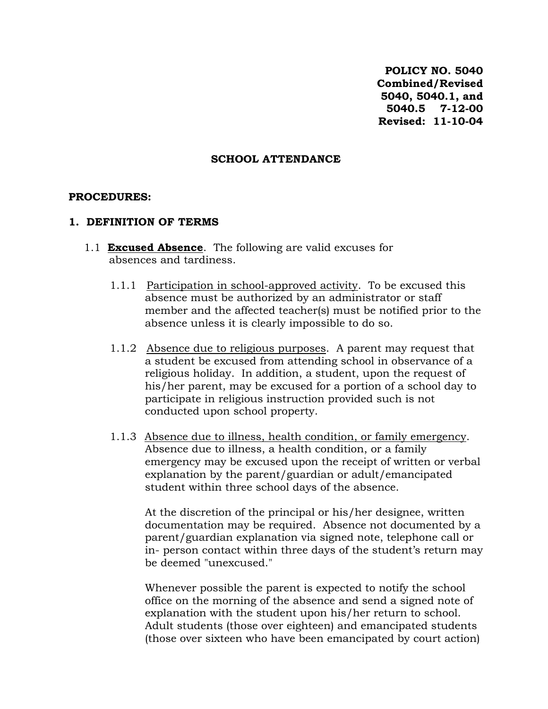**POLICY NO. 5040 Combined/Revised 5040, 5040.1, and 5040.5 7-12-00 Revised: 11-10-04**

### **SCHOOL ATTENDANCE**

#### **PROCEDURES:**

#### **1. DEFINITION OF TERMS**

- 1.1 **Excused Absence**. The following are valid excuses for absences and tardiness.
	- 1.1.1 Participation in school-approved activity. To be excused this absence must be authorized by an administrator or staff member and the affected teacher(s) must be notified prior to the absence unless it is clearly impossible to do so.
	- 1.1.2 Absence due to religious purposes. A parent may request that a student be excused from attending school in observance of a religious holiday. In addition, a student, upon the request of his/her parent, may be excused for a portion of a school day to participate in religious instruction provided such is not conducted upon school property.
	- 1.1.3 Absence due to illness, health condition, or family emergency. Absence due to illness, a health condition, or a family emergency may be excused upon the receipt of written or verbal explanation by the parent/guardian or adult/emancipated student within three school days of the absence.

At the discretion of the principal or his/her designee, written documentation may be required. Absence not documented by a parent/guardian explanation via signed note, telephone call or in- person contact within three days of the student's return may be deemed "unexcused."

Whenever possible the parent is expected to notify the school office on the morning of the absence and send a signed note of explanation with the student upon his/her return to school. Adult students (those over eighteen) and emancipated students (those over sixteen who have been emancipated by court action)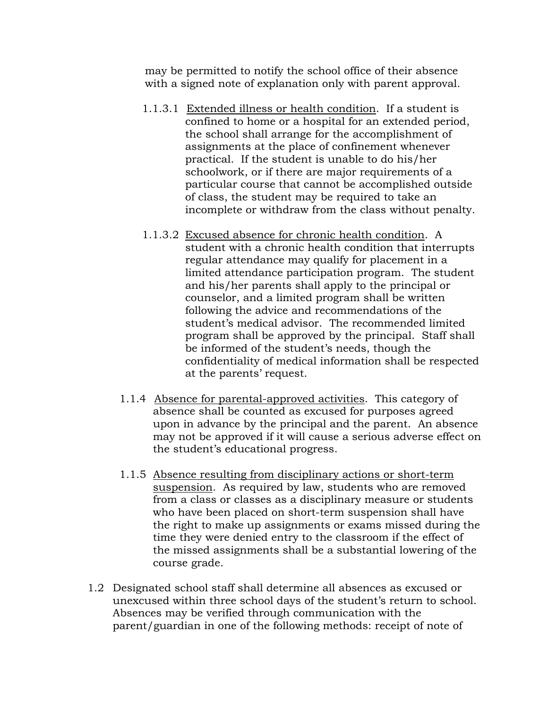may be permitted to notify the school office of their absence with a signed note of explanation only with parent approval.

- 1.1.3.1 Extended illness or health condition. If a student is confined to home or a hospital for an extended period, the school shall arrange for the accomplishment of assignments at the place of confinement whenever practical. If the student is unable to do his/her schoolwork, or if there are major requirements of a particular course that cannot be accomplished outside of class, the student may be required to take an incomplete or withdraw from the class without penalty.
- 1.1.3.2 Excused absence for chronic health condition. A student with a chronic health condition that interrupts regular attendance may qualify for placement in a limited attendance participation program. The student and his/her parents shall apply to the principal or counselor, and a limited program shall be written following the advice and recommendations of the student's medical advisor. The recommended limited program shall be approved by the principal. Staff shall be informed of the student's needs, though the confidentiality of medical information shall be respected at the parents' request.
- 1.1.4 Absence for parental-approved activities. This category of absence shall be counted as excused for purposes agreed upon in advance by the principal and the parent. An absence may not be approved if it will cause a serious adverse effect on the student's educational progress.
- 1.1.5 Absence resulting from disciplinary actions or short-term suspension. As required by law, students who are removed from a class or classes as a disciplinary measure or students who have been placed on short-term suspension shall have the right to make up assignments or exams missed during the time they were denied entry to the classroom if the effect of the missed assignments shall be a substantial lowering of the course grade.
- 1.2 Designated school staff shall determine all absences as excused or unexcused within three school days of the student's return to school. Absences may be verified through communication with the parent/guardian in one of the following methods: receipt of note of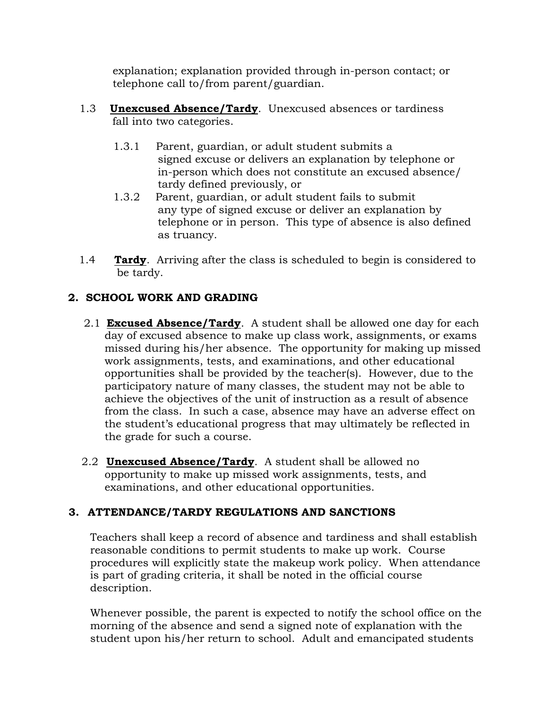explanation; explanation provided through in-person contact; or telephone call to/from parent/guardian.

- 1.3 **Unexcused Absence/Tardy**. Unexcused absences or tardiness fall into two categories.
	- 1.3.1 Parent, guardian, or adult student submits a signed excuse or delivers an explanation by telephone or in-person which does not constitute an excused absence/ tardy defined previously, or
	- 1.3.2 Parent, guardian, or adult student fails to submit any type of signed excuse or deliver an explanation by telephone or in person. This type of absence is also defined as truancy.
- 1.4 **Tardy**. Arriving after the class is scheduled to begin is considered to be tardy.

# **2. SCHOOL WORK AND GRADING**

- 2.1 **Excused Absence/Tardy**. A student shall be allowed one day for each day of excused absence to make up class work, assignments, or exams missed during his/her absence. The opportunity for making up missed work assignments, tests, and examinations, and other educational opportunities shall be provided by the teacher(s). However, due to the participatory nature of many classes, the student may not be able to achieve the objectives of the unit of instruction as a result of absence from the class. In such a case, absence may have an adverse effect on the student's educational progress that may ultimately be reflected in the grade for such a course.
- 2.2 **Unexcused Absence/Tardy**. A student shall be allowed no opportunity to make up missed work assignments, tests, and examinations, and other educational opportunities.

# **3. ATTENDANCE/TARDY REGULATIONS AND SANCTIONS**

Teachers shall keep a record of absence and tardiness and shall establish reasonable conditions to permit students to make up work. Course procedures will explicitly state the makeup work policy. When attendance is part of grading criteria, it shall be noted in the official course description.

Whenever possible, the parent is expected to notify the school office on the morning of the absence and send a signed note of explanation with the student upon his/her return to school. Adult and emancipated students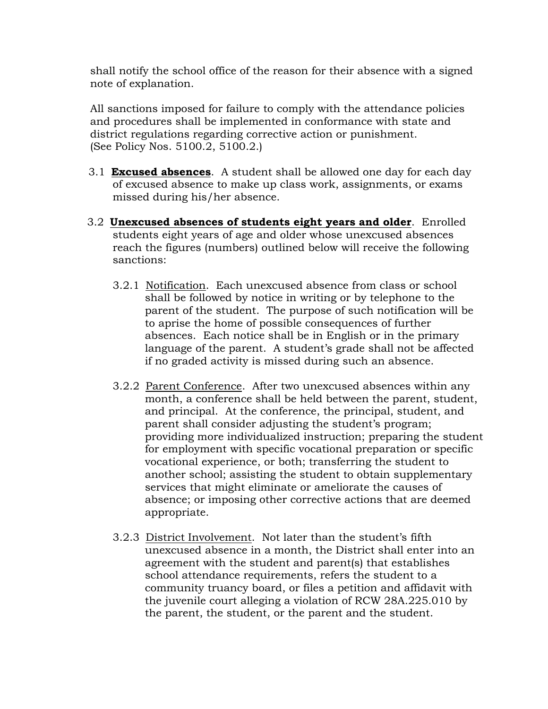shall notify the school office of the reason for their absence with a signed note of explanation.

All sanctions imposed for failure to comply with the attendance policies and procedures shall be implemented in conformance with state and district regulations regarding corrective action or punishment. (See Policy Nos. 5100.2, 5100.2.)

- 3.1 **Excused absences**. A student shall be allowed one day for each day of excused absence to make up class work, assignments, or exams missed during his/her absence.
- 3.2 **Unexcused absences of students eight years and older**. Enrolled students eight years of age and older whose unexcused absences reach the figures (numbers) outlined below will receive the following sanctions:
	- 3.2.1 Notification. Each unexcused absence from class or school shall be followed by notice in writing or by telephone to the parent of the student. The purpose of such notification will be to aprise the home of possible consequences of further absences. Each notice shall be in English or in the primary language of the parent. A student's grade shall not be affected if no graded activity is missed during such an absence.
	- 3.2.2 Parent Conference. After two unexcused absences within any month, a conference shall be held between the parent, student, and principal. At the conference, the principal, student, and parent shall consider adjusting the student's program; providing more individualized instruction; preparing the student for employment with specific vocational preparation or specific vocational experience, or both; transferring the student to another school; assisting the student to obtain supplementary services that might eliminate or ameliorate the causes of absence; or imposing other corrective actions that are deemed appropriate.
	- 3.2.3 District Involvement. Not later than the student's fifth unexcused absence in a month, the District shall enter into an agreement with the student and parent(s) that establishes school attendance requirements, refers the student to a community truancy board, or files a petition and affidavit with the juvenile court alleging a violation of RCW 28A.225.010 by the parent, the student, or the parent and the student.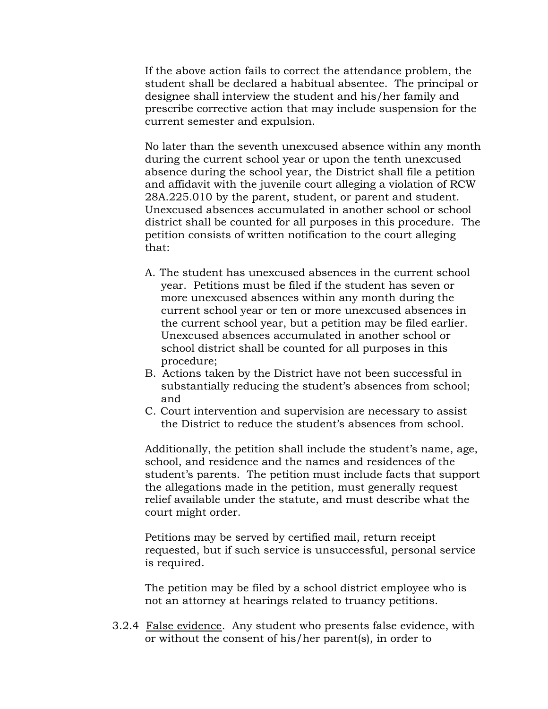If the above action fails to correct the attendance problem, the student shall be declared a habitual absentee. The principal or designee shall interview the student and his/her family and prescribe corrective action that may include suspension for the current semester and expulsion.

No later than the seventh unexcused absence within any month during the current school year or upon the tenth unexcused absence during the school year, the District shall file a petition and affidavit with the juvenile court alleging a violation of RCW 28A.225.010 by the parent, student, or parent and student. Unexcused absences accumulated in another school or school district shall be counted for all purposes in this procedure. The petition consists of written notification to the court alleging that:

- A. The student has unexcused absences in the current school year. Petitions must be filed if the student has seven or more unexcused absences within any month during the current school year or ten or more unexcused absences in the current school year, but a petition may be filed earlier. Unexcused absences accumulated in another school or school district shall be counted for all purposes in this procedure;
- B. Actions taken by the District have not been successful in substantially reducing the student's absences from school; and
- C. Court intervention and supervision are necessary to assist the District to reduce the student's absences from school.

Additionally, the petition shall include the student's name, age, school, and residence and the names and residences of the student's parents. The petition must include facts that support the allegations made in the petition, must generally request relief available under the statute, and must describe what the court might order.

Petitions may be served by certified mail, return receipt requested, but if such service is unsuccessful, personal service is required.

The petition may be filed by a school district employee who is not an attorney at hearings related to truancy petitions.

3.2.4 False evidence. Any student who presents false evidence, with or without the consent of his/her parent(s), in order to